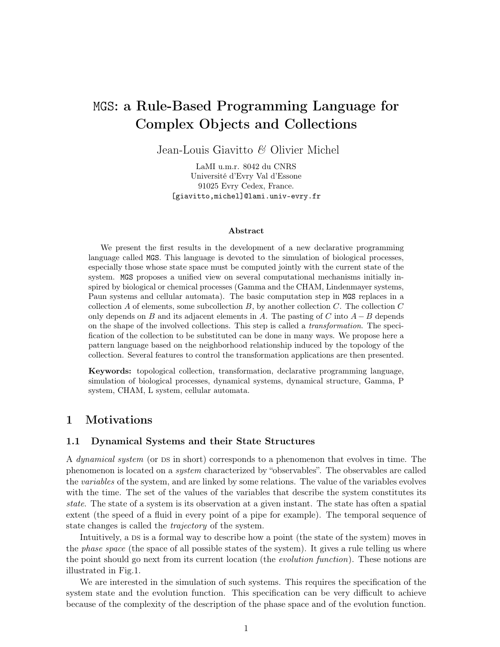# MGS: a Rule-Based Programming Language for Complex Objects and Collections

Jean-Louis Giavitto *&* Olivier Michel

LaMI u.m.r. 8042 du CNRS Université d'Evry Val d'Essone 91025 Evry Cedex, France. [giavitto,michel]@lami.univ-evry.fr

#### Abstract

We present the first results in the development of a new declarative programming language called MGS. This language is devoted to the simulation of biological processes, especially those whose state space must be computed jointly with the current state of the system. MGS proposes a unified view on several computational mechanisms initially inspired by biological or chemical processes (Gamma and the CHAM, Lindenmayer systems, Paun systems and cellular automata). The basic computation step in MGS replaces in a collection *A* of elements, some subcollection *B*, by another collection *C*. The collection *C* only depends on *B* and its adjacent elements in *A*. The pasting of *C* into  $A - B$  depends on the shape of the involved collections. This step is called a *transformation*. The specification of the collection to be substituted can be done in many ways. We propose here a pattern language based on the neighborhood relationship induced by the topology of the collection. Several features to control the transformation applications are then presented.

Keywords: topological collection, transformation, declarative programming language, simulation of biological processes, dynamical systems, dynamical structure, Gamma, P system, CHAM, L system, cellular automata.

# 1 Motivations

# 1.1 Dynamical Systems and their State Structures

A *dynamical system* (or DS in short) corresponds to a phenomenon that evolves in time. The phenomenon is located on a *system* characterized by "observables". The observables are called the *variables* of the system, and are linked by some relations. The value of the variables evolves with the time. The set of the values of the variables that describe the system constitutes its *state*. The state of a system is its observation at a given instant. The state has often a spatial extent (the speed of a fluid in every point of a pipe for example). The temporal sequence of state changes is called the *trajectory* of the system.

Intuitively, a DS is a formal way to describe how a point (the state of the system) moves in the *phase space* (the space of all possible states of the system). It gives a rule telling us where the point should go next from its current location (the *evolution function*). These notions are illustrated in Fig.1.

We are interested in the simulation of such systems. This requires the specification of the system state and the evolution function. This specification can be very difficult to achieve because of the complexity of the description of the phase space and of the evolution function.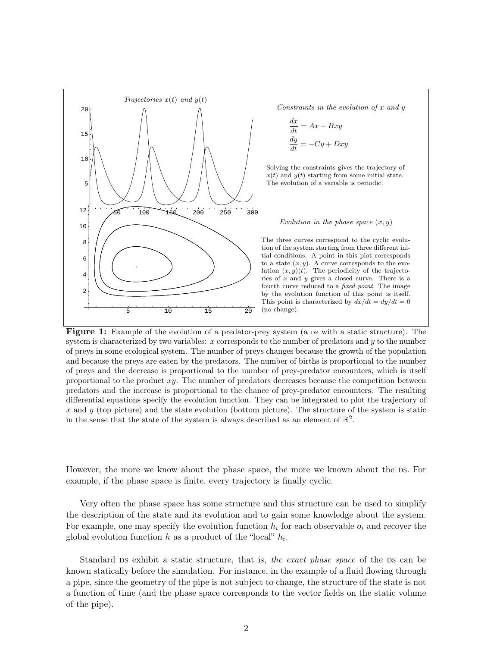

*Constraints in the evolution of x and y*

$$
\frac{dx}{dt} = Ax - Bxy
$$

$$
\frac{dy}{dt} = -Cy + Dxy
$$

Solving the constraints gives the trajectory of  $x(t)$  and  $y(t)$  starting from some initial state. The evolution of a variable is periodic.

*Evolution in the phase space* (*x, y*)

The three curves correspond to the cyclic evolution of the system starting from three different initial conditions. A point in this plot corresponds to a state  $(x, y)$ . A curve corresponds to the evolution  $(x, y)(t)$ . The periodicity of the trajectories of *x* and *y* gives a closed curve. There is a fourth curve reduced to a *fixed point*. The image by the evolution function of this point is itself. This point is characterized by  $dx/dt = dy/dt = 0$ (no change).

Figure 1: Example of the evolution of a predator-prey system (a  $\nu$  is with a static structure). The system is characterized by two variables: *x* corresponds to the number of predators and *y* to the number of preys in some ecological system. The number of preys changes because the growth of the population and because the preys are eaten by the predators. The number of births is proportional to the number of preys and the decrease is proportional to the number of prey-predator encounters, which is itself proportional to the product *xy*. The number of predators decreases because the competition between predators and the increase is proportional to the chance of prey-predator encounters. The resulting differential equations specify the evolution function. They can be integrated to plot the trajectory of *x* and *y* (top picture) and the state evolution (bottom picture). The structure of the system is static in the sense that the state of the system is always described as an element of  $\mathbb{R}^2$ .

However, the more we know about the phase space, the more we known about the DS. For example, if the phase space is finite, every trajectory is finally cyclic.

Very often the phase space has some structure and this structure can be used to simplify the description of the state and its evolution and to gain some knowledge about the system. For example, one may specify the evolution function  $h_i$  for each observable  $o_i$  and recover the global evolution function *h* as a product of the "local" *h<sup>i</sup>* .

Standard DS exhibit a static structure, that is, *the exact phase space* of the DS can be known statically before the simulation. For instance, in the example of a fluid flowing through a pipe, since the geometry of the pipe is not subject to change, the structure of the state is not a function of time (and the phase space corresponds to the vector fields on the static volume of the pipe).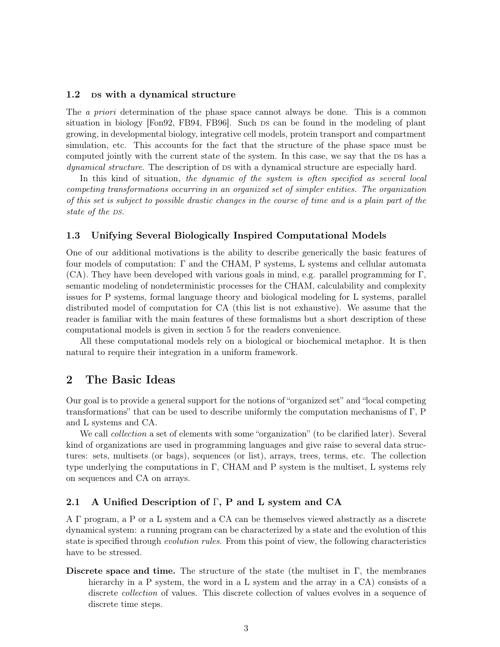#### 1.2 DS with a dynamical structure

The *a priori* determination of the phase space cannot always be done. This is a common situation in biology [Fon92, FB94, FB96]. Such DS can be found in the modeling of plant growing, in developmental biology, integrative cell models, protein transport and compartment simulation, etc. This accounts for the fact that the structure of the phase space must be computed jointly with the current state of the system. In this case, we say that the DS has a *dynamical structure*. The description of DS with a dynamical structure are especially hard.

In this kind of situation, *the dynamic of the system is often specified as several local competing transformations occurring in an organized set of simpler entities. The organization of this set is subject to possible drastic changes in the course of time and is a plain part of the state of the DS.*

# 1.3 Unifying Several Biologically Inspired Computational Models

One of our additional motivations is the ability to describe generically the basic features of four models of computation: Γ and the CHAM, P systems, L systems and cellular automata (CA). They have been developed with various goals in mind, e.g. parallel programming for Γ, semantic modeling of nondeterministic processes for the CHAM, calculability and complexity issues for P systems, formal language theory and biological modeling for L systems, parallel distributed model of computation for CA (this list is not exhaustive). We assume that the reader is familiar with the main features of these formalisms but a short description of these computational models is given in section 5 for the readers convenience.

All these computational models rely on a biological or biochemical metaphor. It is then natural to require their integration in a uniform framework.

# 2 The Basic Ideas

Our goal is to provide a general support for the notions of "organized set" and "local competing transformations" that can be used to describe uniformly the computation mechanisms of Γ, P and L systems and CA.

We call *collection* a set of elements with some "organization" (to be clarified later). Several kind of organizations are used in programming languages and give raise to several data structures: sets, multisets (or bags), sequences (or list), arrays, trees, terms, etc. The collection type underlying the computations in  $\Gamma$ , CHAM and P system is the multiset, L systems rely on sequences and CA on arrays.

# 2.1 A Unified Description of  $\Gamma$ , P and L system and CA

A Γ program, a P or a L system and a CA can be themselves viewed abstractly as a discrete dynamical system: a running program can be characterized by a state and the evolution of this state is specified through *evolution rules*. From this point of view, the following characteristics have to be stressed.

Discrete space and time. The structure of the state (the multiset in  $\Gamma$ , the membranes hierarchy in a P system, the word in a L system and the array in a CA) consists of a discrete *collection* of values. This discrete collection of values evolves in a sequence of discrete time steps.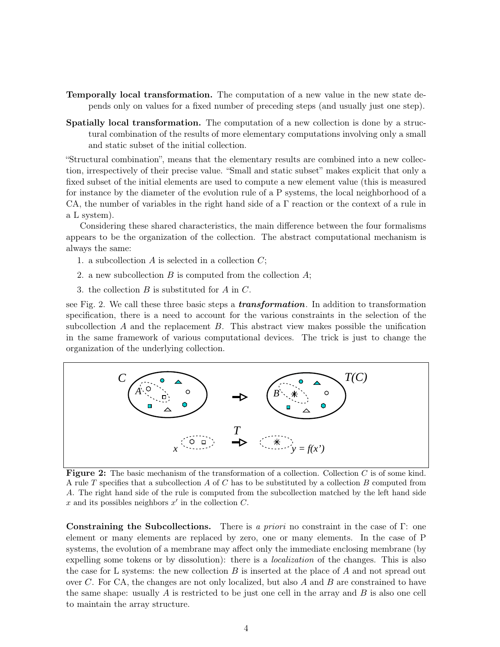- Temporally local transformation. The computation of a new value in the new state depends only on values for a fixed number of preceding steps (and usually just one step).
- Spatially local transformation. The computation of a new collection is done by a structural combination of the results of more elementary computations involving only a small and static subset of the initial collection.

"Structural combination", means that the elementary results are combined into a new collection, irrespectively of their precise value. "Small and static subset" makes explicit that only a fixed subset of the initial elements are used to compute a new element value (this is measured for instance by the diameter of the evolution rule of a P systems, the local neighborhood of a CA, the number of variables in the right hand side of a  $\Gamma$  reaction or the context of a rule in a L system).

Considering these shared characteristics, the main difference between the four formalisms appears to be the organization of the collection. The abstract computational mechanism is always the same:

- 1. a subcollection *A* is selected in a collection *C*;
- 2. a new subcollection *B* is computed from the collection *A*;
- 3. the collection *B* is substituted for *A* in *C*.

see Fig. 2. We call these three basic steps a *transformation*. In addition to transformation specification, there is a need to account for the various constraints in the selection of the subcollection *A* and the replacement *B*. This abstract view makes possible the unification in the same framework of various computational devices. The trick is just to change the organization of the underlying collection.



Figure 2: The basic mechanism of the transformation of a collection. Collection *C* is of some kind. A rule *T* specifies that a subcollection *A* of *C* has to be substituted by a collection *B* computed from *A*. The right hand side of the rule is computed from the subcollection matched by the left hand side *x* and its possibles neighbors *x ′* in the collection *C*.

Constraining the Subcollections. There is *a priori* no constraint in the case of Γ: one element or many elements are replaced by zero, one or many elements. In the case of P systems, the evolution of a membrane may affect only the immediate enclosing membrane (by expelling some tokens or by dissolution): there is a *localization* of the changes. This is also the case for L systems: the new collection *B* is inserted at the place of *A* and not spread out over *C*. For CA, the changes are not only localized, but also *A* and *B* are constrained to have the same shape: usually *A* is restricted to be just one cell in the array and *B* is also one cell to maintain the array structure.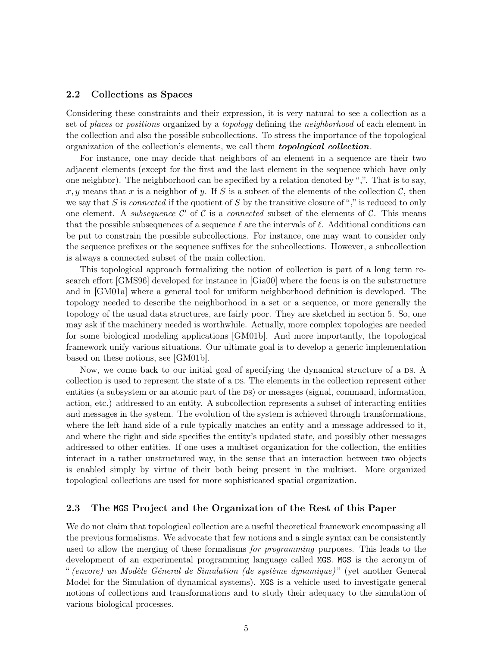#### 2.2 Collections as Spaces

Considering these constraints and their expression, it is very natural to see a collection as a set of *places* or *positions* organized by a *topology* defining the *neighborhood* of each element in the collection and also the possible subcollections. To stress the importance of the topological organization of the collection's elements, we call them *topological collection*.

For instance, one may decide that neighbors of an element in a sequence are their two adjacent elements (except for the first and the last element in the sequence which have only one neighbor). The neighborhood can be specified by a relation denoted by "*,*". That is to say,  $x, y$  means that *x* is a neighbor of *y*. If *S* is a subset of the elements of the collection  $C$ , then we say that *S* is *connected* if the quotient of *S* by the transitive closure of "*,*" is reduced to only one element. A *subsequence*  $C'$  of  $C$  is a *connected* subset of the elements of  $C$ . This means that the possible subsequences of a sequence *ℓ* are the intervals of *ℓ*. Additional conditions can be put to constrain the possible subcollections. For instance, one may want to consider only the sequence prefixes or the sequence suffixes for the subcollections. However, a subcollection is always a connected subset of the main collection.

This topological approach formalizing the notion of collection is part of a long term research effort [GMS96] developed for instance in [Gia00] where the focus is on the substructure and in [GM01a] where a general tool for uniform neighborhood definition is developed. The topology needed to describe the neighborhood in a set or a sequence, or more generally the topology of the usual data structures, are fairly poor. They are sketched in section 5. So, one may ask if the machinery needed is worthwhile. Actually, more complex topologies are needed for some biological modeling applications [GM01b]. And more importantly, the topological framework unify various situations. Our ultimate goal is to develop a generic implementation based on these notions, see [GM01b].

Now, we come back to our initial goal of specifying the dynamical structure of a DS. A collection is used to represent the state of a DS. The elements in the collection represent either entities (a subsystem or an atomic part of the DS) or messages (signal, command, information, action, etc.) addressed to an entity. A subcollection represents a subset of interacting entities and messages in the system. The evolution of the system is achieved through transformations, where the left hand side of a rule typically matches an entity and a message addressed to it, and where the right and side specifies the entity's updated state, and possibly other messages addressed to other entities. If one uses a multiset organization for the collection, the entities interact in a rather unstructured way, in the sense that an interaction between two objects is enabled simply by virtue of their both being present in the multiset. More organized topological collections are used for more sophisticated spatial organization.

#### 2.3 The MGS Project and the Organization of the Rest of this Paper

We do not claim that topological collection are a useful theoretical framework encompassing all the previous formalisms. We advocate that few notions and a single syntax can be consistently used to allow the merging of these formalisms *for programming* purposes. This leads to the development of an experimental programming language called MGS. MGS is the acronym of " *(encore) un Modèle Géneral de Simulation (de système dynamique)* " (yet another General Model for the Simulation of dynamical systems). MGS is a vehicle used to investigate general notions of collections and transformations and to study their adequacy to the simulation of various biological processes.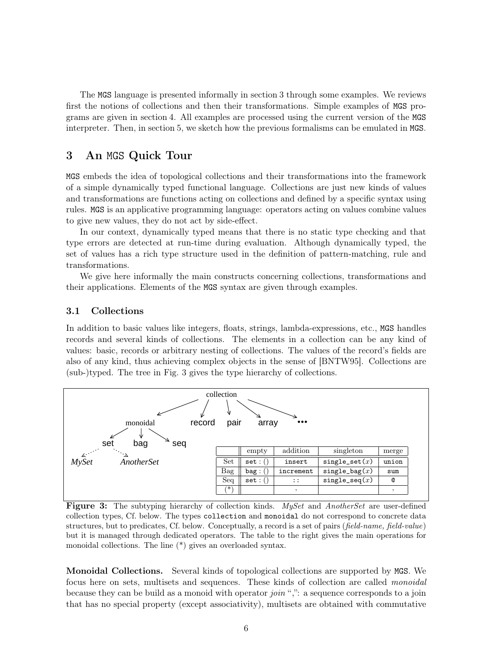The MGS language is presented informally in section 3 through some examples. We reviews first the notions of collections and then their transformations. Simple examples of MGS programs are given in section 4. All examples are processed using the current version of the MGS interpreter. Then, in section 5, we sketch how the previous formalisms can be emulated in MGS.

# 3 An MGS Quick Tour

MGS embeds the idea of topological collections and their transformations into the framework of a simple dynamically typed functional language. Collections are just new kinds of values and transformations are functions acting on collections and defined by a specific syntax using rules. MGS is an applicative programming language: operators acting on values combine values to give new values, they do not act by side-effect.

In our context, dynamically typed means that there is no static type checking and that type errors are detected at run-time during evaluation. Although dynamically typed, the set of values has a rich type structure used in the definition of pattern-matching, rule and transformations.

We give here informally the main constructs concerning collections, transformations and their applications. Elements of the MGS syntax are given through examples.

#### 3.1 Collections

In addition to basic values like integers, floats, strings, lambda-expressions, etc., MGS handles records and several kinds of collections. The elements in a collection can be any kind of values: basic, records or arbitrary nesting of collections. The values of the record's fields are also of any kind, thus achieving complex objects in the sense of [BNTW95]. Collections are (sub-)typed. The tree in Fig. 3 gives the type hierarchy of collections.



Figure 3: The subtyping hierarchy of collection kinds. *MySet* and *AnotherSet* are user-defined collection types, Cf. below. The types collection and monoidal do not correspond to concrete data structures, but to predicates, Cf. below. Conceptually, a record is a set of pairs (*field-name, field-value*) but it is managed through dedicated operators. The table to the right gives the main operations for monoidal collections. The line (\*) gives an overloaded syntax.

Monoidal Collections. Several kinds of topological collections are supported by MGS. We focus here on sets, multisets and sequences. These kinds of collection are called *monoidal* because they can be build as a monoid with operator *join* "*,*": a sequence corresponds to a join that has no special property (except associativity), multisets are obtained with commutative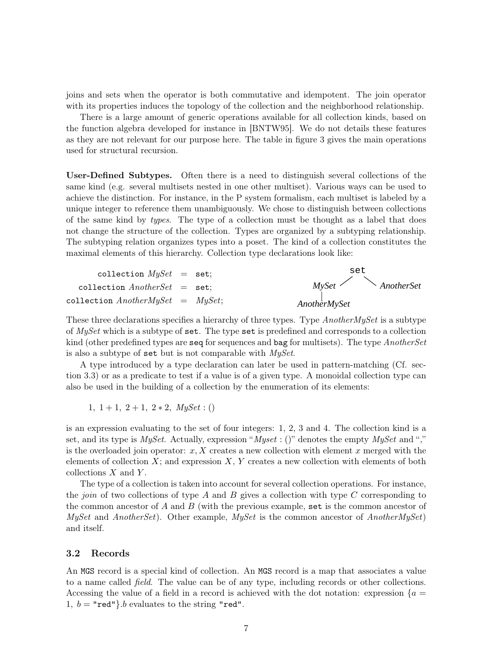joins and sets when the operator is both commutative and idempotent. The join operator with its properties induces the topology of the collection and the neighborhood relationship.

There is a large amount of generic operations available for all collection kinds, based on the function algebra developed for instance in [BNTW95]. We do not details these features as they are not relevant for our purpose here. The table in figure 3 gives the main operations used for structural recursion.

User-Defined Subtypes. Often there is a need to distinguish several collections of the same kind (e.g. several multisets nested in one other multiset). Various ways can be used to achieve the distinction. For instance, in the P system formalism, each multiset is labeled by a unique integer to reference them unambiguously. We chose to distinguish between collections of the same kind by *types*. The type of a collection must be thought as a label that does not change the structure of the collection. Types are organized by a subtyping relationship. The subtyping relation organizes types into a poset. The kind of a collection constitutes the maximal elements of this hierarchy. Collection type declarations look like:

| collection $MySet = set;$          |  | set                 |
|------------------------------------|--|---------------------|
| collection $AnotherSet = set;$     |  | $MySet$ Another Set |
| collection $AnotherMySet = MySet;$ |  | Another MySet       |

These three declarations specifies a hierarchy of three types. Type *AnotherMySet* is a subtype of *MySet* which is a subtype of set. The type set is predefined and corresponds to a collection kind (other predefined types are seq for sequences and bag for multisets). The type *AnotherSet* is also a subtype of set but is not comparable with *MySet*.

A type introduced by a type declaration can later be used in pattern-matching (Cf. section 3.3) or as a predicate to test if a value is of a given type. A monoidal collection type can also be used in the building of a collection by the enumeration of its elements:

1, 1 + 1, 2 + 1, 2  $*$  2,  $MySet$  : ()

is an expression evaluating to the set of four integers: 1, 2, 3 and 4. The collection kind is a set, and its type is *MySet*. Actually, expression "*Myset* : ()" denotes the empty *MySet* and "*,*" is the overloaded join operator: *x, X* creates a new collection with element *x* merged with the elements of collection *X*; and expression *X*, *Y* creates a new collection with elements of both collections *X* and *Y* .

The type of a collection is taken into account for several collection operations. For instance, the *join* of two collections of type *A* and *B* gives a collection with type *C* corresponding to the common ancestor of *A* and *B* (with the previous example, set is the common ancestor of *MySet* and *AnotherSet*). Other example, *MySet* is the common ancestor of *AnotherMySet*) and itself.

# 3.2 Records

An MGS record is a special kind of collection. An MGS record is a map that associates a value to a name called *field*. The value can be of any type, including records or other collections. Accessing the value of a field in a record is achieved with the dot notation: expression  ${a =$ 1,  $b = "red"\}b$  evaluates to the string "red".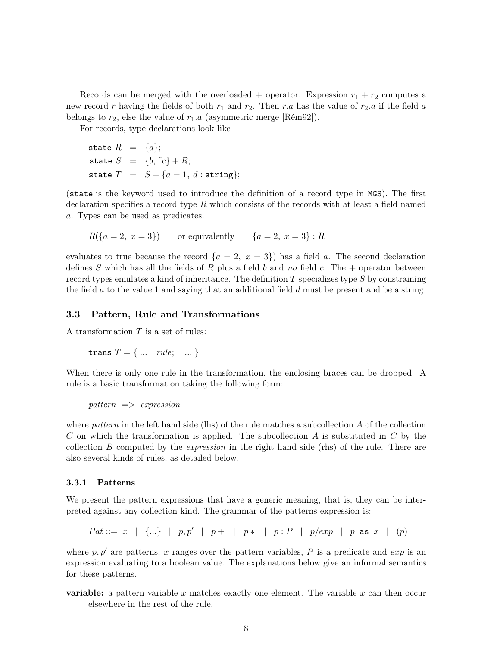Records can be merged with the overloaded + operator. Expression  $r_1 + r_2$  computes a new record *r* having the fields of both *r*<sup>1</sup> and *r*2. Then *r.a* has the value of *r*2*.a* if the field *a* belongs to  $r_2$ , else the value of  $r_1.a$  (asymmetric merge [Rém92]).

For records, type declarations look like

state  $R = \{a\}$ ; state  $S = \{b, c^c\} + R;$ state  $T = S + \{a = 1, d : \text{string}\};$ 

(state is the keyword used to introduce the definition of a record type in MGS). The first declaration specifies a record type *R* which consists of the records with at least a field named *a*. Types can be used as predicates:

 $R({a = 2, x = 3})$  or equivalently  ${a = 2, x = 3}$ : *R* 

evaluates to true because the record  $\{a = 2, x = 3\}$  has a field *a*. The second declaration defines *S* which has all the fields of *R* plus a field *b* and *no* field *c*. The + operator between record types emulates a kind of inheritance. The definition *T* specializes type *S* by constraining the field *a* to the value 1 and saying that an additional field *d* must be present and be a string.

# 3.3 Pattern, Rule and Transformations

A transformation *T* is a set of rules:

 ${\rm trans} \ T = \{ \ ... \ \ rule; \ ... \}$ 

When there is only one rule in the transformation, the enclosing braces can be dropped. A rule is a basic transformation taking the following form:

*pattern* =*> expression*

where *pattern* in the left hand side (lhs) of the rule matches a subcollection *A* of the collection *C* on which the transformation is applied. The subcollection *A* is substituted in *C* by the collection *B* computed by the *expression* in the right hand side (rhs) of the rule. There are also several kinds of rules, as detailed below.

# 3.3.1 Patterns

We present the pattern expressions that have a generic meaning, that is, they can be interpreted against any collection kind. The grammar of the patterns expression is:

 $Pat ::= x \mid \{...\} \mid p, p' \mid p + \mid p* \mid p : P \mid p/exp \mid p$  as  $x \mid (p)$ 

where  $p, p'$  are patterns, x ranges over the pattern variables, P is a predicate and  $exp$  is an expression evaluating to a boolean value. The explanations below give an informal semantics for these patterns.

variable: a pattern variable *x* matches exactly one element. The variable *x* can then occur elsewhere in the rest of the rule.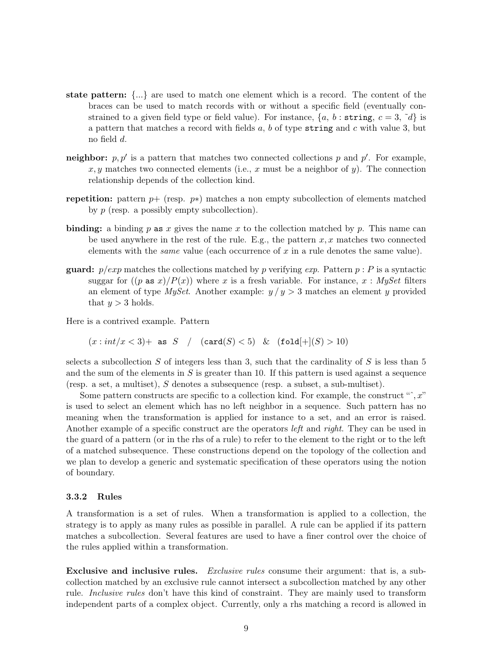- state pattern: *{...}* are used to match one element which is a record. The content of the braces can be used to match records with or without a specific field (eventually constrained to a given field type or field value). For instance,  $\{a, b : \text{string}, c = 3, \tilde{d}\}$  is a pattern that matches a record with fields *a*, *b* of type string and *c* with value 3, but no field *d*.
- neighbor:  $p, p'$  is a pattern that matches two connected collections  $p$  and  $p'$ . For example, *x, y* matches two connected elements (i.e., *x* must be a neighbor of *y*). The connection relationship depends of the collection kind.
- **repetition:** pattern  $p +$  (resp.  $p *$ ) matches a non empty subcollection of elements matched by *p* (resp. a possibly empty subcollection).
- **binding:** a binding  $p$  as  $x$  gives the name  $x$  to the collection matched by  $p$ . This name can be used anywhere in the rest of the rule. E.g., the pattern *x, x* matches two connected elements with the *same* value (each occurrence of *x* in a rule denotes the same value).
- **guard:**  $p/exp$  matches the collections matched by p verifying  $exp$ . Pattern  $p$ : P is a syntactic suggar for  $((p \text{ as } x)/P(x))$  where x is a fresh variable. For instance, x : MySet filters an element of type  $M_ySet$ . Another example:  $y/y > 3$  matches an element *y* provided that  $y > 3$  holds.

Here is a contrived example. Pattern

 $(x: int/x < 3)$  + as *S* / (card(*S*) < 5) & (fold[+](*S*) > 10)

selects a subcollection *S* of integers less than 3, such that the cardinality of *S* is less than 5 and the sum of the elements in *S* is greater than 10. If this pattern is used against a sequence (resp. a set, a multiset), *S* denotes a subsequence (resp. a subset, a sub-multiset).

Some pattern constructs are specific to a collection kind. For example, the construct "ˆ*, x*" is used to select an element which has no left neighbor in a sequence. Such pattern has no meaning when the transformation is applied for instance to a set, and an error is raised. Another example of a specific construct are the operators *left* and *right*. They can be used in the guard of a pattern (or in the rhs of a rule) to refer to the element to the right or to the left of a matched subsequence. These constructions depend on the topology of the collection and we plan to develop a generic and systematic specification of these operators using the notion of boundary.

# 3.3.2 Rules

A transformation is a set of rules. When a transformation is applied to a collection, the strategy is to apply as many rules as possible in parallel. A rule can be applied if its pattern matches a subcollection. Several features are used to have a finer control over the choice of the rules applied within a transformation.

Exclusive and inclusive rules. *Exclusive rules* consume their argument: that is, a subcollection matched by an exclusive rule cannot intersect a subcollection matched by any other rule. *Inclusive rules* don't have this kind of constraint. They are mainly used to transform independent parts of a complex object. Currently, only a rhs matching a record is allowed in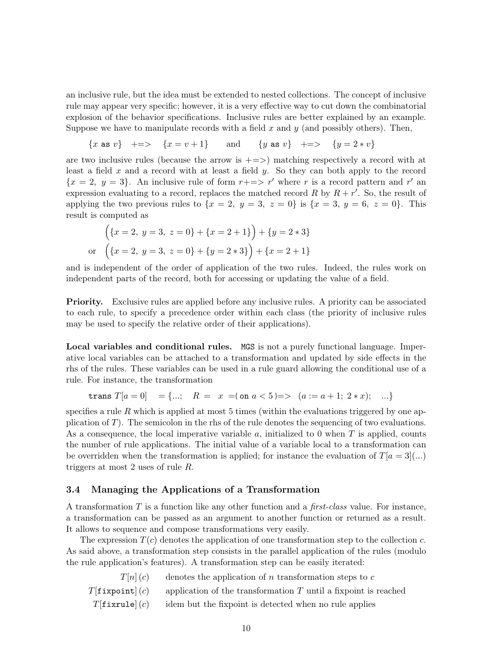an inclusive rule, but the idea must be extended to nested collections. The concept of inclusive rule may appear very specific; however, it is a very effective way to cut down the combinatorial explosion of the behavior specifications. Inclusive rules are better explained by an example. Suppose we have to manipulate records with a field *x* and *y* (and possibly others). Then,

$$
\{x \text{ as } v\} \quad \{x = v + 1\} \qquad \text{and} \qquad \{y \text{ as } v\} \quad \{v = 2 * v\}
$$

are two inclusive rules (because the arrow is +=*>*) matching respectively a record with at least a field *x* and a record with at least a field *y*. So they can both apply to the record  ${x = 2, y = 3}$ . An inclusive rule of form  $r{+}>> r'$  where *r* is a record pattern and *r'* an expression evaluating to a record, replaces the matched record  $R$  by  $R + r'$ . So, the result of applying the two previous rules to  $\{x = 2, y = 3, z = 0\}$  is  $\{x = 3, y = 6, z = 0\}$ . This result is computed as

$$
\left(\{x=2, y=3, z=0\} + \{x=2+1\}\right) + \{y=2*3\}
$$
  
or 
$$
\left(\{x=2, y=3, z=0\} + \{y=2*3\}\right) + \{x=2+1\}
$$

and is independent of the order of application of the two rules. Indeed, the rules work on independent parts of the record, both for accessing or updating the value of a field.

Priority. Exclusive rules are applied before any inclusive rules. A priority can be associated to each rule, to specify a precedence order within each class (the priority of inclusive rules may be used to specify the relative order of their applications).

Local variables and conditional rules. MGS is not a purely functional language. Imperative local variables can be attached to a transformation and updated by side effects in the rhs of the rules. These variables can be used in a rule guard allowing the conditional use of a rule. For instance, the transformation

trans 
$$
T[a = 0]
$$
 = {...;  $R = x =$ { on  $a < 5$ }= $\langle a := a + 1; 2 * x \rangle$ ; ...}

specifies a rule R which is applied at most 5 times (within the evaluations triggered by one application of *T*). The semicolon in the rhs of the rule denotes the sequencing of two evaluations. As a consequence, the local imperative variable *a*, initialized to 0 when *T* is applied, counts the number of rule applications. The initial value of a variable local to a transformation can be overridden when the transformation is applied; for instance the evaluation of  $T_a = 3$ [...] triggers at most 2 uses of rule *R*.

# 3.4 Managing the Applications of a Transformation

A transformation *T* is a function like any other function and a *first-class* value. For instance, a transformation can be passed as an argument to another function or returned as a result. It allows to sequence and compose transformations very easily.

The expression *T*(*c*) denotes the application of one transformation step to the collection *c*. As said above, a transformation step consists in the parallel application of the rules (modulo the rule application's features). A transformation step can be easily iterated:

- $T[n](c)$  denotes the application of *n* transformation steps to *c*
- $T[\text{fixpoint}](c)$  application of the transformation *T* until a fixpoint is reached
- $T$ **[fixrule]** (*c*) idem but the fixpoint is detected when no rule applies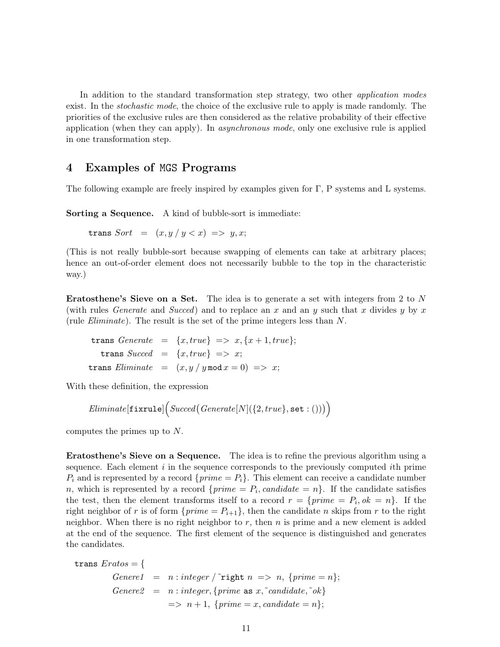In addition to the standard transformation step strategy, two other *application modes* exist. In the *stochastic mode*, the choice of the exclusive rule to apply is made randomly. The priorities of the exclusive rules are then considered as the relative probability of their effective application (when they can apply). In *asynchronous mode*, only one exclusive rule is applied in one transformation step.

# 4 Examples of MGS Programs

The following example are freely inspired by examples given for Γ, P systems and L systems.

Sorting a Sequence. A kind of bubble-sort is immediate:

 ${\text{trans}} \; Sort \; = \; (x, y \; / \; y < x) \; = \; y, x;$ 

(This is not really bubble-sort because swapping of elements can take at arbitrary places; hence an out-of-order element does not necessarily bubble to the top in the characteristic way.)

Eratosthene's Sieve on a Set. The idea is to generate a set with integers from 2 to *N* (with rules *Generate* and *Succed*) and to replace an *x* and an *y* such that *x* divides *y* by *x* (rule *Eliminate*). The result is the set of the prime integers less than *N*.

 $\text{trans} \text{ \textit{Generate}} = \{x, \text{true}\} \implies x, \{x+1, \text{true}\};$  $\text{trans } Succed = \{x, true\} \implies x;$ trans *Eliminate* =  $(x, y / y \mod x = 0)$  => x;

With these definition, the expression

 $Eliminate[\texttt{fixrule}]\Big(Suced(Generate[N](\{2,true\}, \texttt{set} : ()))\Big)$ 

computes the primes up to *N*.

Eratosthene's Sieve on a Sequence. The idea is to refine the previous algorithm using a sequence. Each element *i* in the sequence corresponds to the previously computed *i*th prime  $P_i$  and is represented by a record  $\{prime\}$  *forme* =  $P_i$ . This element can receive a candidate number *n*, which is represented by a record  $\{prime = P_i, candidate = n\}$ . If the candidate satisfies the test, then the element transforms itself to a record  $r = \{prime, ok = n\}$ . If the right neighbor of *r* is of form  $\{prime = P_{i+1}\}$ , then the candidate *n* skips from *r* to the right neighbor. When there is no right neighbor to *r*, then *n* is prime and a new element is added at the end of the sequence. The first element of the sequence is distinguished and generates the candidates.

 $\text{trans}\, Eratos = \{$ *Genere1* =  $n: integer / \tilde{r}$  *right*  $n \implies n, \{ prime = n \};$  $\text{Generez} = n : \text{integer}, \{\text{prime as } x, \text{ } \text{}^ \circ \text{} \text{z} \text{ } \text{z} \text{ } \text{z} \text{ } \text{z} \text{ } \text{z} \text{ } \text{z} \text{ } \text{z} \text{ } \text{z} \text{ } \text{z} \text{ } \text{z} \text{ } \text{z} \text{ } \text{z} \text{ } \text{z} \text{ } \text{z} \text{ } \text{z} \text{ } \text{z} \text{ } \text{z} \text{ } \text{z} \text{ } \text{z} \text{ } \text{z} \text{ } \text$  $\Rightarrow$   $n+1$ ,  $\{prime = x, candidate = n\};$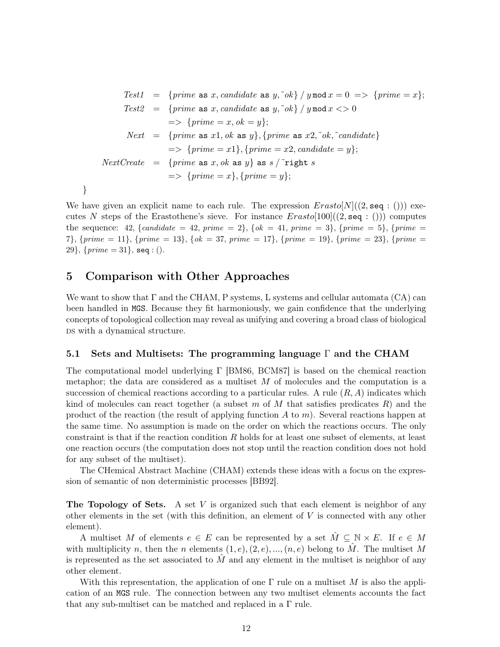\n
$$
\text{Test1} = \{\text{prime as } x, \text{candidate as } y, \text{c} \mid y \mod x = 0 \implies \{\text{prime} = x\};
$$
\n $\text{Test2} = \{\text{prime as } x, \text{ candidate as } y, \text{c} \mid y \mod x < > 0$ \n $\implies \{\text{prime} = x, \text{ok} = y\};$ \n

\n\n $\text{Next} = \{\text{prime as } x1, \text{ok as } y\}, \{\text{prime as } x2, \text{c} \mid x, \text{c} \mid x \land y\}$ \n $\implies \{\text{prime} = x1\}, \{\text{prime} = x2, \text{candidate} = y\};$ \n

\n\n $\text{NextCreate} = \{\text{prime as } x, \text{ok as } y\} \text{ as } s / \text{right } s$ \n $\implies \{\text{prime} = x\}, \{\text{prime} = y\};$ \n

\n\n $\text{NextCreate} = \{\text{prime} = x\}, \{\text{prime} = y\};$ \n

We have given an explicit name to each rule. The expression  $Erasto[N](2, \text{seq} : ()$ ) executes *N* steps of the Erastothene's sieve. For instance  $Erasto[100]$  $((2,seq:)))$  computes the sequence: 42,  $\{candidate = 42, prime = 2\}, \{ok = 41, prime = 3\}, \{prime = 5\}, \{prime = 5\}$ 7, {prime = 11}, {prime = 13}, {ok = 37, prime = 17}, {prime = 19}, {prime = 23}, {prime =  $29$ }*,*  ${prime = 31}$ *,* seq : ().

# 5 Comparison with Other Approaches

*}*

We want to show that  $\Gamma$  and the CHAM, P systems, L systems and cellular automata (CA) can been handled in MGS. Because they fit harmoniously, we gain confidence that the underlying concepts of topological collection may reveal as unifying and covering a broad class of biological DS with a dynamical structure.

# 5.1 Sets and Multisets: The programming language  $\Gamma$  and the CHAM

The computational model underlying Γ [BM86, BCM87] is based on the chemical reaction metaphor; the data are considered as a multiset *M* of molecules and the computation is a succession of chemical reactions according to a particular rules. A rule  $(R, A)$  indicates which kind of molecules can react together (a subset *m* of *M* that satisfies predicates *R*) and the product of the reaction (the result of applying function *A* to *m*). Several reactions happen at the same time. No assumption is made on the order on which the reactions occurs. The only constraint is that if the reaction condition *R* holds for at least one subset of elements, at least one reaction occurs (the computation does not stop until the reaction condition does not hold for any subset of the multiset).

The CHemical Abstract Machine (CHAM) extends these ideas with a focus on the expression of semantic of non deterministic processes [BB92].

The Topology of Sets. A set *V* is organized such that each element is neighbor of any other elements in the set (with this definition, an element of *V* is connected with any other element).

A multiset *M* of elements  $e \in E$  can be represented by a set  $M \subseteq \mathbb{N} \times E$ . If  $e \in M$ with multiplicity *n*, then the *n* elements  $(1, e), (2, e), ..., (n, e)$  belong to  $\hat{M}$ . The multiset M is represented as the set associated to *M*ˆ and any element in the multiset is neighbor of any other element.

With this representation, the application of one Γ rule on a multiset *M* is also the application of an MGS rule. The connection between any two multiset elements accounts the fact that any sub-multiset can be matched and replaced in a Γ rule.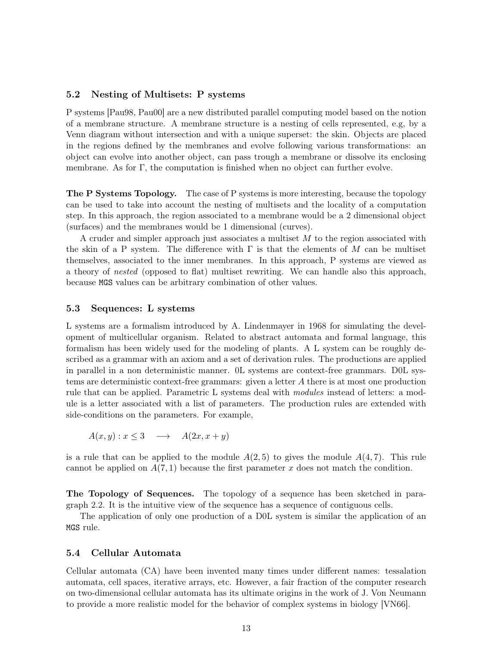# 5.2 Nesting of Multisets: P systems

P systems [Pau98, Pau00] are a new distributed parallel computing model based on the notion of a membrane structure. A membrane structure is a nesting of cells represented, e.g, by a Venn diagram without intersection and with a unique superset: the skin. Objects are placed in the regions defined by the membranes and evolve following various transformations: an object can evolve into another object, can pass trough a membrane or dissolve its enclosing membrane. As for  $\Gamma$ , the computation is finished when no object can further evolve.

**The P Systems Topology.** The case of P systems is more interesting, because the topology can be used to take into account the nesting of multisets and the locality of a computation step. In this approach, the region associated to a membrane would be a 2 dimensional object (surfaces) and the membranes would be 1 dimensional (curves).

A cruder and simpler approach just associates a multiset *M* to the region associated with the skin of a P system. The difference with  $\Gamma$  is that the elements of M can be multiset themselves, associated to the inner membranes. In this approach, P systems are viewed as a theory of *nested* (opposed to flat) multiset rewriting. We can handle also this approach, because MGS values can be arbitrary combination of other values.

#### 5.3 Sequences: L systems

L systems are a formalism introduced by A. Lindenmayer in 1968 for simulating the development of multicellular organism. Related to abstract automata and formal language, this formalism has been widely used for the modeling of plants. A L system can be roughly described as a grammar with an axiom and a set of derivation rules. The productions are applied in parallel in a non deterministic manner. 0L systems are context-free grammars. D0L systems are deterministic context-free grammars: given a letter *A* there is at most one production rule that can be applied. Parametric L systems deal with *modules* instead of letters: a module is a letter associated with a list of parameters. The production rules are extended with side-conditions on the parameters. For example,

$$
A(x, y) : x \le 3 \quad \longrightarrow \quad A(2x, x + y)
$$

is a rule that can be applied to the module  $A(2,5)$  to gives the module  $A(4,7)$ . This rule cannot be applied on *A*(7*,* 1) because the first parameter *x* does not match the condition.

The Topology of Sequences. The topology of a sequence has been sketched in paragraph 2.2. It is the intuitive view of the sequence has a sequence of contiguous cells.

The application of only one production of a D0L system is similar the application of an MGS rule.

# 5.4 Cellular Automata

Cellular automata (CA) have been invented many times under different names: tessalation automata, cell spaces, iterative arrays, etc. However, a fair fraction of the computer research on two-dimensional cellular automata has its ultimate origins in the work of J. Von Neumann to provide a more realistic model for the behavior of complex systems in biology [VN66].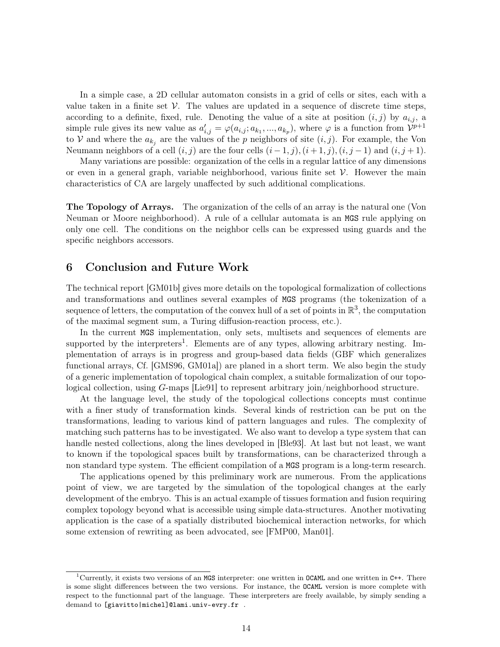In a simple case, a 2D cellular automaton consists in a grid of cells or sites, each with a value taken in a finite set  $\mathcal V$ . The values are updated in a sequence of discrete time steps, according to a definite, fixed, rule. Denoting the value of a site at position  $(i, j)$  by  $a_{i,j}$ , a simple rule gives its new value as  $a'_{i,j} = \varphi(a_{i,j}; a_{k_1},..., a_{k_p})$ , where  $\varphi$  is a function from  $\mathcal{V}^{p+1}$ to *V* and where the  $a_{k_j}$  are the values of the *p* neighbors of site  $(i, j)$ . For example, the Von Neumann neighbors of a cell  $(i, j)$  are the four cells  $(i - 1, j)$ ,  $(i + 1, j)$ ,  $(i, j - 1)$  and  $(i, j + 1)$ .

Many variations are possible: organization of the cells in a regular lattice of any dimensions or even in a general graph, variable neighborhood, various finite set *V*. However the main characteristics of CA are largely unaffected by such additional complications.

The Topology of Arrays. The organization of the cells of an array is the natural one (Von Neuman or Moore neighborhood). A rule of a cellular automata is an MGS rule applying on only one cell. The conditions on the neighbor cells can be expressed using guards and the specific neighbors accessors.

# 6 Conclusion and Future Work

The technical report [GM01b] gives more details on the topological formalization of collections and transformations and outlines several examples of MGS programs (the tokenization of a sequence of letters, the computation of the convex hull of a set of points in  $\mathbb{R}^3$ , the computation of the maximal segment sum, a Turing diffusion-reaction process, etc.).

In the current MGS implementation, only sets, multisets and sequences of elements are supported by the interpreters<sup>1</sup>. Elements are of any types, allowing arbitrary nesting. Implementation of arrays is in progress and group-based data fields (GBF which generalizes functional arrays, Cf. [GMS96, GM01a]) are planed in a short term. We also begin the study of a generic implementation of topological chain complex, a suitable formalization of our topological collection, using *G*-maps [Lie91] to represent arbitrary join/neighborhood structure.

At the language level, the study of the topological collections concepts must continue with a finer study of transformation kinds. Several kinds of restriction can be put on the transformations, leading to various kind of pattern languages and rules. The complexity of matching such patterns has to be investigated. We also want to develop a type system that can handle nested collections, along the lines developed in [Ble93]. At last but not least, we want to known if the topological spaces built by transformations, can be characterized through a non standard type system. The efficient compilation of a MGS program is a long-term research.

The applications opened by this preliminary work are numerous. From the applications point of view, we are targeted by the simulation of the topological changes at the early development of the embryo. This is an actual example of tissues formation and fusion requiring complex topology beyond what is accessible using simple data-structures. Another motivating application is the case of a spatially distributed biochemical interaction networks, for which some extension of rewriting as been advocated, see [FMP00, Man01].

<sup>&</sup>lt;sup>1</sup>Currently, it exists two versions of an MGS interpreter: one written in  $OCAML$  and one written in  $C++$ . There is some slight differences between the two versions. For instance, the OCAML version is more complete with respect to the functionnal part of the language. These interpreters are freely available, by simply sending a demand to [giavitto|michel]@lami.univ-evry.fr .